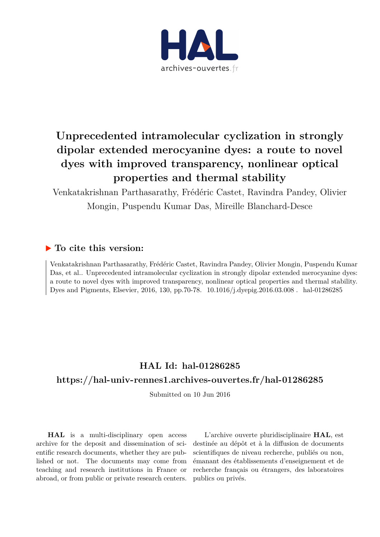

# **Unprecedented intramolecular cyclization in strongly dipolar extended merocyanine dyes: a route to novel dyes with improved transparency, nonlinear optical properties and thermal stability**

Venkatakrishnan Parthasarathy, Frédéric Castet, Ravindra Pandey, Olivier Mongin, Puspendu Kumar Das, Mireille Blanchard-Desce

## **To cite this version:**

Venkatakrishnan Parthasarathy, Frédéric Castet, Ravindra Pandey, Olivier Mongin, Puspendu Kumar Das, et al.. Unprecedented intramolecular cyclization in strongly dipolar extended merocyanine dyes: a route to novel dyes with improved transparency, nonlinear optical properties and thermal stability. Dyes and Pigments, Elsevier, 2016, 130, pp.70-78.  $10.1016$ /j.dyepig.2016.03.008  $\ldots$ hal-01286285

## **HAL Id: hal-01286285**

## **<https://hal-univ-rennes1.archives-ouvertes.fr/hal-01286285>**

Submitted on 10 Jun 2016

**HAL** is a multi-disciplinary open access archive for the deposit and dissemination of scientific research documents, whether they are published or not. The documents may come from teaching and research institutions in France or abroad, or from public or private research centers.

L'archive ouverte pluridisciplinaire **HAL**, est destinée au dépôt et à la diffusion de documents scientifiques de niveau recherche, publiés ou non, émanant des établissements d'enseignement et de recherche français ou étrangers, des laboratoires publics ou privés.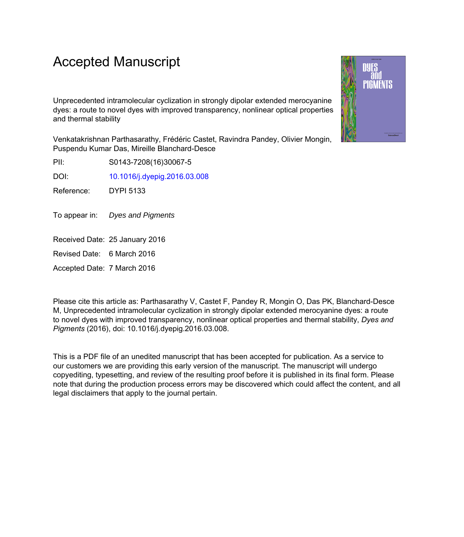## Accepted Manuscript

Unprecedented intramolecular cyclization in strongly dipolar extended merocyanine dyes: a route to novel dyes with improved transparency, nonlinear optical properties and thermal stability

Venkatakrishnan Parthasarathy, Frédéric Castet, Ravindra Pandey, Olivier Mongin, Puspendu Kumar Das, Mireille Blanchard-Desce

PII: S0143-7208(16)30067-5

DOI: [10.1016/j.dyepig.2016.03.008](http://dx.doi.org/10.1016/j.dyepig.2016.03.008)

Reference: DYPI 5133

To appear in: Dyes and Pigments

Received Date: 25 January 2016

Revised Date: 6 March 2016

Accepted Date: 7 March 2016

Please cite this article as: Parthasarathy V, Castet F, Pandey R, Mongin O, Das PK, Blanchard-Desce M, Unprecedented intramolecular cyclization in strongly dipolar extended merocyanine dyes: a route to novel dyes with improved transparency, nonlinear optical properties and thermal stability, *Dyes and Pigments* (2016), doi: 10.1016/j.dyepig.2016.03.008.

This is a PDF file of an unedited manuscript that has been accepted for publication. As a service to our customers we are providing this early version of the manuscript. The manuscript will undergo copyediting, typesetting, and review of the resulting proof before it is published in its final form. Please note that during the production process errors may be discovered which could affect the content, and all legal disclaimers that apply to the journal pertain.

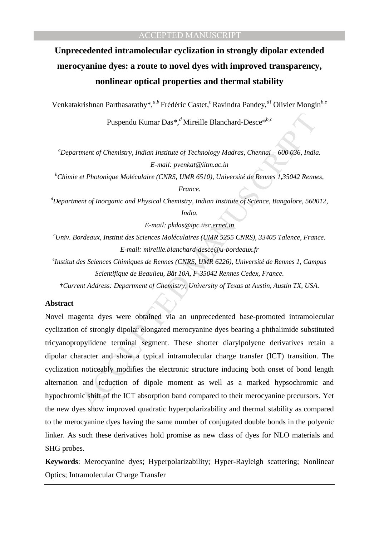# **Unprecedented intramolecular cyclization in strongly dipolar extended merocyanine dyes: a route to novel dyes with improved transparency, nonlinear optical properties and thermal stability**

Venkatakrishnan Parthasarathy\*,*a,b* Frédéric Castet,*<sup>c</sup>*Ravindra Pandey,*<sup>d</sup>*† Olivier Mongin*b,e*

Puspendu Kumar Das\*,*<sup>d</sup>*Mireille Blanchard-Desce\**b,c*

*<sup>a</sup>Department of Chemistry, Indian Institute of Technology Madras, Chennai – 600 036, India. E-mail: pvenkat@iitm.ac.in* 

*<sup>b</sup>Chimie et Photonique Moléculaire (CNRS, UMR 6510), Université de Rennes 1,35042 Rennes, France.* 

*<sup>d</sup>Department of Inorganic and Physical Chemistry, Indian Institute of Science, Bangalore, 560012,* 

*India.* 

*E-mail: pkdas@ipc.iisc.ernet.in* 

*<sup>c</sup>Univ. Bordeaux, Institut des Sciences Moléculaires (UMR 5255 CNRS), 33405 Talence, France. E-mail: mireille.blanchard-desce@u-bordeaux.fr* 

*e Institut des Sciences Chimiques de Rennes (CNRS, UMR 6226), Université de Rennes 1, Campus Scientifique de Beaulieu, Bât 10A, F-35042 Rennes Cedex, France.* 

*†Current Address: Department of Chemistry, University of Texas at Austin, Austin TX, USA.* 

## **Abstract**

Puspendu Kumar Das<sup>®</sup>,<sup>*d</sup>* Mireille Blanchard-Desce<sup>\*</sup><sup>*hc*</sup><br>
tment of Chemistry, Indian Institute of Technology Madras, Chennai = 600 036, India<br>
E-mail: pvenkat@itim.ac.in<br>
er Photonique Moléculaire (CNRS, UMR 6510), U</sup> Novel magenta dyes were obtained via an unprecedented base-promoted intramolecular cyclization of strongly dipolar elongated merocyanine dyes bearing a phthalimide substituted tricyanopropylidene terminal segment. These shorter diarylpolyene derivatives retain a dipolar character and show a typical intramolecular charge transfer (ICT) transition. The cyclization noticeably modifies the electronic structure inducing both onset of bond length alternation and reduction of dipole moment as well as a marked hypsochromic and hypochromic shift of the ICT absorption band compared to their merocyanine precursors. Yet the new dyes show improved quadratic hyperpolarizability and thermal stability as compared to the merocyanine dyes having the same number of conjugated double bonds in the polyenic linker. As such these derivatives hold promise as new class of dyes for NLO materials and SHG probes.

**Keywords**: Merocyanine dyes; Hyperpolarizability; Hyper-Rayleigh scattering; Nonlinear Optics; Intramolecular Charge Transfer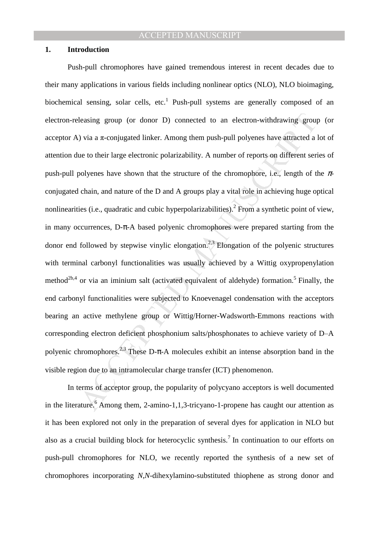#### **1. Introduction**

leasing group (or donor D) connected to an electron-withdrawing group<br>  $\rho$  is a  $\pi$ -conjugated linker. Among them push-pull polyenes have attracted a<br>
ue to their large electronic polarizability. A number of reports on Push-pull chromophores have gained tremendous interest in recent decades due to their many applications in various fields including nonlinear optics (NLO), NLO bioimaging, biochemical sensing, solar cells, etc.<sup>1</sup> Push-pull systems are generally composed of an electron-releasing group (or donor D) connected to an electron-withdrawing group (or acceptor A) via a  $\pi$ -conjugated linker. Among them push-pull polyenes have attracted a lot of attention due to their large electronic polarizability. A number of reports on different series of push-pull polyenes have shown that the structure of the chromophore, i.e., length of the  $\pi$ conjugated chain, and nature of the D and A groups play a vital role in achieving huge optical nonlinearities (i.e., quadratic and cubic hyperpolarizabilities).<sup>2</sup> From a synthetic point of view, in many occurrences, D-π-A based polyenic chromophores were prepared starting from the donor end followed by stepwise vinylic elongation.<sup>2,3</sup> Elongation of the polyenic structures with terminal carbonyl functionalities was usually achieved by a Wittig oxypropenylation method<sup>2b,4</sup> or via an iminium salt (activated equivalent of aldehyde) formation.<sup>5</sup> Finally, the end carbonyl functionalities were subjected to Knoevenagel condensation with the acceptors bearing an active methylene group or Wittig/Horner-Wadsworth-Emmons reactions with corresponding electron deficient phosphonium salts/phosphonates to achieve variety of D-A polyenic chromophores.<sup>2,3</sup> These D- $\pi$ -A molecules exhibit an intense absorption band in the visible region due to an intramolecular charge transfer (ICT) phenomenon.

 In terms of acceptor group, the popularity of polycyano acceptors is well documented in the literature.<sup>6</sup> Among them, 2-amino-1,1,3-tricyano-1-propene has caught our attention as it has been explored not only in the preparation of several dyes for application in NLO but also as a crucial building block for heterocyclic synthesis.<sup>7</sup> In continuation to our efforts on push-pull chromophores for NLO, we recently reported the synthesis of a new set of chromophores incorporating *N*,*N*-dihexylamino-substituted thiophene as strong donor and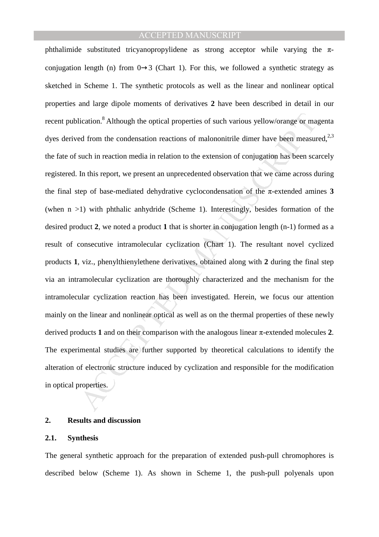ication.<sup>8</sup> Although the optical properties of such various yellow/orange or manned from the condensation reactions of malononitrile dimer have been measured in reaction media in relation to the extension of conjugation h phthalimide substituted tricyanopropylidene as strong acceptor while varying the  $\pi$ conjugation length (n) from  $0\rightarrow 3$  (Chart 1). For this, we followed a synthetic strategy as sketched in Scheme 1. The synthetic protocols as well as the linear and nonlinear optical properties and large dipole moments of derivatives **2** have been described in detail in our recent publication.<sup>8</sup> Although the optical properties of such various yellow/orange or magenta dyes derived from the condensation reactions of malononitrile dimer have been measured, $2,3$ the fate of such in reaction media in relation to the extension of conjugation has been scarcely registered. In this report, we present an unprecedented observation that we came across during the final step of base-mediated dehydrative cyclocondensation of the  $\pi$ -extended amines **3** (when n >1) with phthalic anhydride (Scheme 1). Interestingly, besides formation of the desired product **2**, we noted a product **1** that is shorter in conjugation length (n-1) formed as a result of consecutive intramolecular cyclization (Chart 1). The resultant novel cyclized products **1**, viz., phenylthienylethene derivatives, obtained along with **2** during the final step via an intramolecular cyclization are thoroughly characterized and the mechanism for the intramolecular cyclization reaction has been investigated. Herein, we focus our attention mainly on the linear and nonlinear optical as well as on the thermal properties of these newly derived products **1** and on their comparison with the analogous linear π-extended molecules **2**. The experimental studies are further supported by theoretical calculations to identify the alteration of electronic structure induced by cyclization and responsible for the modification in optical properties.

#### **2. Results and discussion**

#### **2.1. Synthesis**

The general synthetic approach for the preparation of extended push-pull chromophores is described below (Scheme 1). As shown in Scheme 1, the push-pull polyenals upon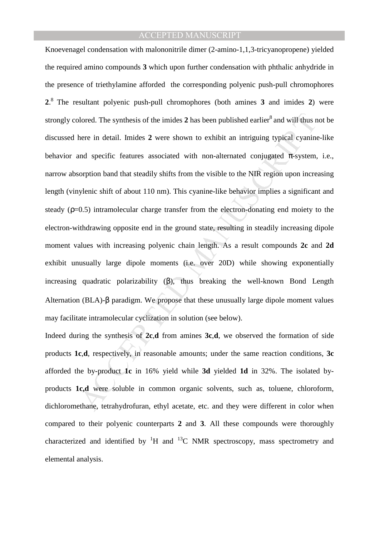able doted. The synthesis of the imides 2 has been published earlier<sup>8</sup> and will thus nere in detail. Imides 2 were shown to exhibit an intriguing typical cyaning and specific features associated with non-alternated conjug Knoevenagel condensation with malononitrile dimer (2-amino-1,1,3-tricyanopropene) yielded the required amino compounds **3** which upon further condensation with phthalic anhydride in the presence of triethylamine afforded the corresponding polyenic push-pull chromophores **2**. <sup>8</sup>The resultant polyenic push-pull chromophores (both amines **3** and imides **2**) were strongly colored. The synthesis of the imides  $2$  has been published earlier<sup>8</sup> and will thus not be discussed here in detail. Imides **2** were shown to exhibit an intriguing typical cyanine-like behavior and specific features associated with non-alternated conjugated  $\pi$ -system, i.e., narrow absorption band that steadily shifts from the visible to the NIR region upon increasing length (vinylenic shift of about 110 nm). This cyanine-like behavior implies a significant and steady  $(p=0.5)$  intramolecular charge transfer from the electron-donating end moiety to the electron-withdrawing opposite end in the ground state, resulting in steadily increasing dipole moment values with increasing polyenic chain length. As a result compounds **2c** and **2d**  exhibit unusually large dipole moments (i.e. over 20D) while showing exponentially increasing quadratic polarizability  $(\beta)$ , thus breaking the well-known Bond Length Alternation (BLA)-β paradigm. We propose that these unusually large dipole moment values may facilitate intramolecular cyclization in solution (see below).

Indeed during the synthesis of **2c**,**d** from amines **3c**,**d**, we observed the formation of side products **1c**,**d**, respectively, in reasonable amounts; under the same reaction conditions, **3c** afforded the by-product **1c** in 16% yield while **3d** yielded **1d** in 32%. The isolated byproducts **1c,d** were soluble in common organic solvents, such as, toluene, chloroform, dichloromethane, tetrahydrofuran, ethyl acetate, etc. and they were different in color when compared to their polyenic counterparts **2** and **3**. All these compounds were thoroughly characterized and identified by  ${}^{1}H$  and  ${}^{13}C$  NMR spectroscopy, mass spectrometry and elemental analysis.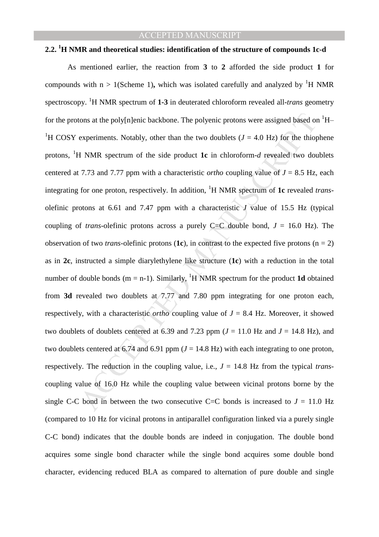#### **2.2. <sup>1</sup>H NMR and theoretical studies: identification of the structure of compounds 1c-d**

tons at the polylale backbone. The polyenic protons were assigned based of<br>experiments. Notably, other than the two doublets  $(J = 4.0 \text{ Hz})$  for the thior<br>H NMR spectrum of the side product 1c in chloroform-*d* revealed two As mentioned earlier, the reaction from **3** to **2** afforded the side product **1** for compounds with  $n > 1$ (Scheme 1), which was isolated carefully and analyzed by <sup>1</sup>H NMR spectroscopy. <sup>1</sup>H NMR spectrum of **1-3** in deuterated chloroform revealed all-*trans* geometry for the protons at the poly[n]enic backbone. The polyenic protons were assigned based on  ${}^{1}H-$ <sup>1</sup>H COSY experiments. Notably, other than the two doublets ( $J = 4.0$  Hz) for the thiophene protons, <sup>1</sup>H NMR spectrum of the side product **1c** in chloroform- $d$  revealed two doublets centered at 7.73 and 7.77 ppm with a characteristic *ortho* coupling value of  $J = 8.5$  Hz, each integrating for one proton, respectively. In addition, <sup>1</sup>H NMR spectrum of 1c revealed *trans*olefinic protons at 6.61 and 7.47 ppm with a characteristic *J* value of 15.5 Hz (typical coupling of *trans*-olefinic protons across a purely C=C double bond,  $J = 16.0$  Hz). The observation of two *trans*-olefinic protons (**1c**), in contrast to the expected five protons ( $n = 2$ ) as in **2c**, instructed a simple diarylethylene like structure (**1c**) with a reduction in the total number of double bonds ( $m = n-1$ ). Similarly, <sup>1</sup>H NMR spectrum for the product **1d** obtained from **3d** revealed two doublets at 7.77 and 7.80 ppm integrating for one proton each, respectively, with a characteristic *ortho* coupling value of  $J = 8.4$  Hz. Moreover, it showed two doublets of doublets centered at 6.39 and 7.23 ppm ( $J = 11.0$  Hz and  $J = 14.8$  Hz), and two doublets centered at 6.74 and 6.91 ppm  $(J = 14.8 \text{ Hz})$  with each integrating to one proton, respectively. The reduction in the coupling value, i.e.,  $J = 14.8$  Hz from the typical *trans*coupling value of 16.0 Hz while the coupling value between vicinal protons borne by the single C-C bond in between the two consecutive C=C bonds is increased to  $J = 11.0$  Hz (compared to 10 Hz for vicinal protons in antiparallel configuration linked via a purely single C-C bond) indicates that the double bonds are indeed in conjugation. The double bond acquires some single bond character while the single bond acquires some double bond character, evidencing reduced BLA as compared to alternation of pure double and single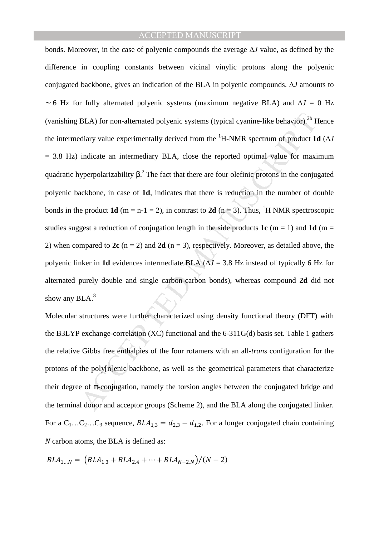BLA) for non-alternated polyenic systems (typical cyanine-like behavior).<sup>26</sup> Ediary value experimentally derived from the <sup>1</sup>H-NMR spectrum of product **1** indicate an intermediary BLA, close the reported optimal value f bonds. Moreover, in the case of polyenic compounds the average ∆*J* value, as defined by the difference in coupling constants between vicinal vinylic protons along the polyenic conjugated backbone, gives an indication of the BLA in polyenic compounds. ∆*J* amounts to ∼ 6 Hz for fully alternated polyenic systems (maximum negative BLA) and ∆*J* = 0 Hz (vanishing BLA) for non-alternated polyenic systems (typical cyanine-like behavior).<sup>2b</sup> Hence the intermediary value experimentally derived from the <sup>1</sup>H-NMR spectrum of product **1d** (∆*J*  = 3.8 Hz) indicate an intermediary BLA, close the reported optimal value for maximum quadratic hyperpolarizability  $\beta$ .<sup>2</sup> The fact that there are four olefinic protons in the conjugated polyenic backbone, in case of **1d**, indicates that there is reduction in the number of double bonds in the product **1d** (m = n-1 = 2), in contrast to **2d** (n = 3). Thus, <sup>1</sup>H NMR spectroscopic studies suggest a reduction of conjugation length in the side products  $1c$  (m = 1) and  $1d$  (m = 2) when compared to **2c** (n = 2) and **2d** (n = 3), respectively. Moreover, as detailed above, the polyenic linker in **1d** evidences intermediate BLA  $(\Delta J = 3.8 \text{ Hz}$  instead of typically 6 Hz for alternated purely double and single carbon-carbon bonds), whereas compound **2d** did not show any  $BLA$ . $8$ 

Molecular structures were further characterized using density functional theory (DFT) with the B3LYP exchange-correlation (XC) functional and the 6-311G(d) basis set. Table 1 gathers the relative Gibbs free enthalpies of the four rotamers with an all-*trans* configuration for the protons of the poly[n]enic backbone, as well as the geometrical parameters that characterize their degree of  $\pi$ -conjugation, namely the torsion angles between the conjugated bridge and the terminal donor and acceptor groups (Scheme 2), and the BLA along the conjugated linker. For a  $C_1...C_2...C_3$  sequence,  $BLA_{1,3} = d_{2,3} - d_{1,2}$ . For a longer conjugated chain containing *N* carbon atoms, the BLA is defined as:

$$
BLA_{1...N} = (BLA_{1,3} + BLA_{2,4} + \dots + BLA_{N-2,N})/(N-2)
$$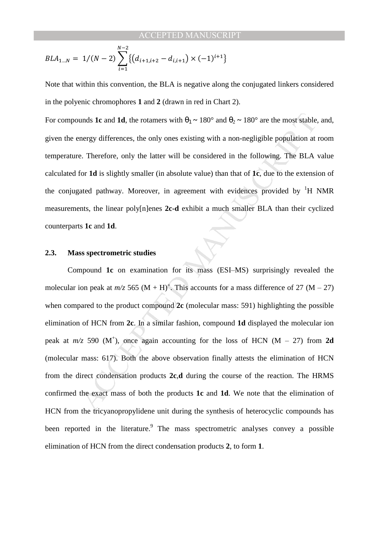$$
BLA_{1\ldots N} = 1/(N-2) \sum_{i=1}^{N-2} \{ (d_{i+1,i+2} - d_{i,i+1}) \times (-1)^{i+1} \}
$$

Note that within this convention, the BLA is negative along the conjugated linkers considered in the polyenic chromophores **1** and **2** (drawn in red in Chart 2).

For compounds **1c** and **1d**, the rotamers with  $\theta_1 \sim 180^\circ$  and  $\theta_2 \sim 180^\circ$  are the most stable, and, given the energy differences, the only ones existing with a non-negligible population at room temperature. Therefore, only the latter will be considered in the following. The BLA value calculated for **1d** is slightly smaller (in absolute value) than that of **1c**, due to the extension of the conjugated pathway. Moreover, in agreement with evidences provided by  ${}^{1}H$  NMR measurements, the linear poly[n]enes **2c-d** exhibit a much smaller BLA than their cyclized counterparts **1c** and **1d**.

#### **2.3. Mass spectrometric studies**

unds **1c** and **1d**, the rotamers with  $\theta_1 \sim 180^\circ$  and  $\theta_2 \sim 180^\circ$  are the most stable,<br>nergy differences, the only ones existing with a non-negligible population at<br>e. Therefore, only the latter will be considered i Compound 1c on examination for its mass (ESI–MS) surprisingly revealed the molecular ion peak at  $m/z$  565 (M + H)<sup>+</sup>. This accounts for a mass difference of 27 (M – 27) when compared to the product compound 2c (molecular mass: 591) highlighting the possible elimination of HCN from **2c**. In a similar fashion, compound **1d** displayed the molecular ion peak at  $m/z$  590 (M<sup>+</sup>), once again accounting for the loss of HCN (M – 27) from 2d (molecular mass: 617). Both the above observation finally attests the elimination of HCN from the direct condensation products **2c**,**d** during the course of the reaction. The HRMS confirmed the exact mass of both the products **1c** and **1d**. We note that the elimination of HCN from the tricyanopropylidene unit during the synthesis of heterocyclic compounds has been reported in the literature.<sup>9</sup> The mass spectrometric analyses convey a possible elimination of HCN from the direct condensation products **2**, to form **1**.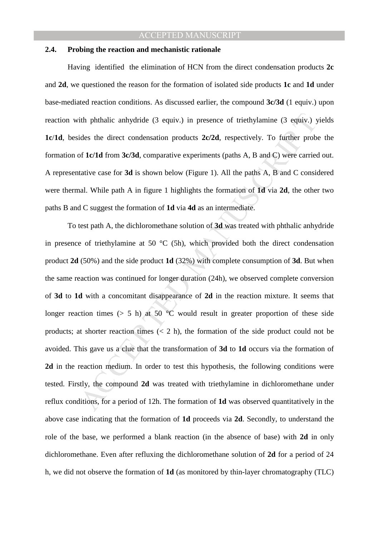#### **2.4. Probing the reaction and mechanistic rationale**

Having identified the elimination of HCN from the direct condensation products **2c** and **2d**, we questioned the reason for the formation of isolated side products **1c** and **1d** under base-mediated reaction conditions. As discussed earlier, the compound **3c/3d** (1 equiv.) upon reaction with phthalic anhydride (3 equiv.) in presence of triethylamine (3 equiv.) yields **1c**/**1d**, besides the direct condensation products **2c/2d**, respectively. To further probe the formation of **1c/1d** from **3c/3d**, comparative experiments (paths A, B and C) were carried out. A representative case for **3d** is shown below (Figure 1). All the paths A, B and C considered were thermal. While path A in figure 1 highlights the formation of **1d** via **2d**, the other two paths B and C suggest the formation of **1d** via **4d** as an intermediate.

ith phthalic anhydride (3 equiv.) in presence of triethylamine (3 equiv.) yides the direct condensation products  $2c/2d$ , respectively. To further probabilities the direct condensation products  $2c/2d$ , respectively. To f To test path A, the dichloromethane solution of **3d** was treated with phthalic anhydride in presence of triethylamine at 50  $\degree$ C (5h), which provided both the direct condensation product **2d** (50%) and the side product **1d** (32%) with complete consumption of **3d**. But when the same reaction was continued for longer duration (24h), we observed complete conversion of **3d** to **1d** with a concomitant disappearance of **2d** in the reaction mixture. It seems that longer reaction times ( $> 5$  h) at 50 °C would result in greater proportion of these side products; at shorter reaction times  $(< 2 \text{ h})$ , the formation of the side product could not be avoided. This gave us a clue that the transformation of **3d** to **1d** occurs via the formation of **2d** in the reaction medium. In order to test this hypothesis, the following conditions were tested. Firstly, the compound **2d** was treated with triethylamine in dichloromethane under reflux conditions, for a period of 12h. The formation of **1d** was observed quantitatively in the above case indicating that the formation of **1d** proceeds via **2d**. Secondly, to understand the role of the base, we performed a blank reaction (in the absence of base) with **2d** in only dichloromethane. Even after refluxing the dichloromethane solution of **2d** for a period of 24 h, we did not observe the formation of **1d** (as monitored by thin-layer chromatography (TLC)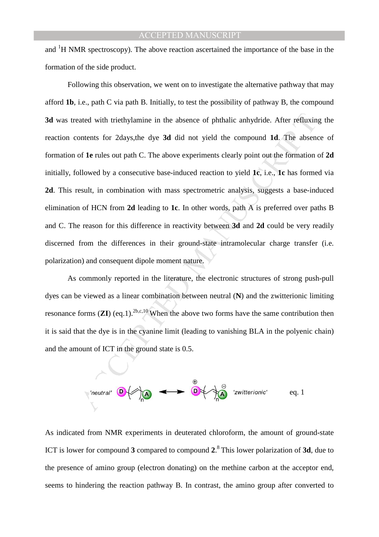and  ${}^{1}$ H NMR spectroscopy). The above reaction ascertained the importance of the base in the formation of the side product.

ated with triethylamine in the absence of phthalic anhydride. After refluxing<br>ontents for 2days,the dye **3d** did not yield the compound **1d**. The absence<br>of **1e** rules out path C. The above experiments clearly point out t Following this observation, we went on to investigate the alternative pathway that may afford **1b**, i.e., path C via path B. Initially, to test the possibility of pathway B, the compound **3d** was treated with triethylamine in the absence of phthalic anhydride. After refluxing the reaction contents for 2days,the dye **3d** did not yield the compound **1d**. The absence of formation of **1e** rules out path C. The above experiments clearly point out the formation of **2d** initially, followed by a consecutive base-induced reaction to yield **1c**, i.e., **1c** has formed via **2d**. This result, in combination with mass spectrometric analysis, suggests a base-induced elimination of HCN from **2d** leading to **1c**. In other words, path A is preferred over paths B and C. The reason for this difference in reactivity between **3d** and **2d** could be very readily discerned from the differences in their ground-state intramolecular charge transfer (i.e. polarization) and consequent dipole moment nature.

 As commonly reported in the literature, the electronic structures of strong push-pull dyes can be viewed as a linear combination between neutral (**N**) and the zwitterionic limiting resonance forms  $(ZI)$  (eq.1).<sup>2b,c,10</sup> When the above two forms have the same contribution then it is said that the dye is in the cyanine limit (leading to vanishing BLA in the polyenic chain) and the amount of ICT in the ground state is 0.5.



As indicated from NMR experiments in deuterated chloroform, the amount of ground-state ICT is lower for compound **3** compared to compound **2**. <sup>8</sup>This lower polarization of **3d**, due to the presence of amino group (electron donating) on the methine carbon at the acceptor end, seems to hindering the reaction pathway B. In contrast, the amino group after converted to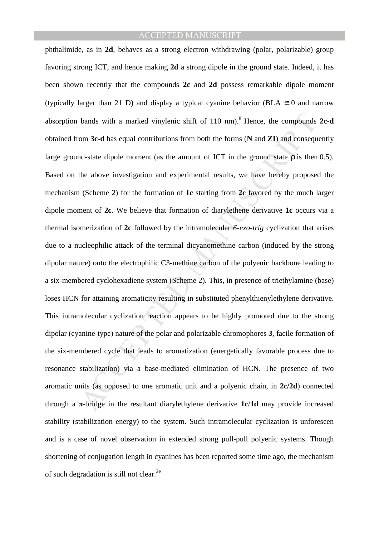bands with a marked vinylenic shift of 110 nm).<sup>8</sup> Hence, the compounds<br>om 3c-d has equal contributions from both the forms (N and ZI) and consequent-<br>d-state dipole moment (as the amount of ICT in the ground state p is t phthalimide, as in **2d**, behaves as a strong electron withdrawing (polar, polarizable) group favoring strong ICT, and hence making **2d** a strong dipole in the ground state. Indeed, it has been shown recently that the compounds **2c** and **2d** possess remarkable dipole moment (typically larger than 21 D) and display a typical cyanine behavior (BLA  $\cong$  0 and narrow absorption bands with a marked vinylenic shift of  $110 \text{ nm}$ <sup>8</sup>. Hence, the compounds **2c-d** obtained from **3c-d** has equal contributions from both the forms (**N** and **ZI**) and consequently large ground-state dipole moment (as the amount of ICT in the ground state  $\rho$  is then 0.5). Based on the above investigation and experimental results, we have hereby proposed the mechanism (Scheme 2) for the formation of **1c** starting from **2c** favored by the much larger dipole moment of **2c**. We believe that formation of diarylethene derivative **1c** occurs via a thermal isomerization of **2c** followed by the intramolecular *6-exo-trig* cyclization that arises due to a nucleophilic attack of the terminal dicyanomethine carbon (induced by the strong dipolar nature) onto the electrophilic C3-methine carbon of the polyenic backbone leading to a six-membered cyclohexadiene system (Scheme 2). This, in presence of triethylamine (base) loses HCN for attaining aromaticity resulting in substituted phenylthienylethylene derivative. This intramolecular cyclization reaction appears to be highly promoted due to the strong dipolar (cyanine-type) nature of the polar and polarizable chromophores **3**, facile formation of the six-membered cycle that leads to aromatization (energetically favorable process due to resonance stabilization) via a base-mediated elimination of HCN. The presence of two aromatic units (as opposed to one aromatic unit and a polyenic chain, in **2c/2d**) connected through a π-bridge in the resultant diarylethylene derivative **1c**/**1d** may provide increased stability (stabilization energy) to the system. Such intramolecular cyclization is unforeseen and is a case of novel observation in extended strong pull-pull polyenic systems. Though shortening of conjugation length in cyanines has been reported some time ago, the mechanism of such degradation is still not clear.<sup>2e</sup>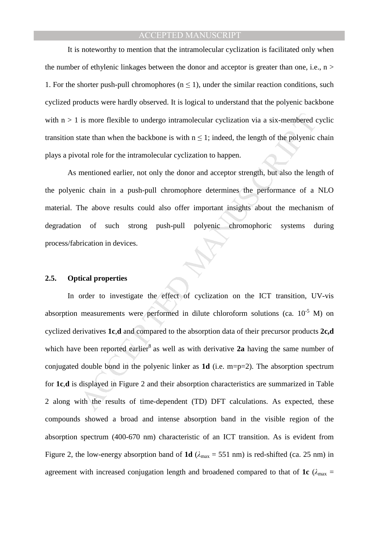It is noteworthy to mention that the intramolecular cyclization is facilitated only when the number of ethylenic linkages between the donor and acceptor is greater than one, i.e.,  $n >$ 1. For the shorter push-pull chromophores ( $n \le 1$ ), under the similar reaction conditions, such cyclized products were hardly observed. It is logical to understand that the polyenic backbone with  $n > 1$  is more flexible to undergo intramolecular cyclization via a six-membered cyclic transition state than when the backbone is with  $n \leq 1$ ; indeed, the length of the polyenic chain plays a pivotal role for the intramolecular cyclization to happen.

 As mentioned earlier, not only the donor and acceptor strength, but also the length of the polyenic chain in a push-pull chromophore determines the performance of a NLO material. The above results could also offer important insights about the mechanism of degradation of such strong push-pull polyenic chromophoric systems during process/fabrication in devices.

#### **2.5. Optical properties**

is more flexible to undergo intramolecular cyclization via a six-membered cate than when the backbone is with  $n \le 1$ ; indeed, the length of the polyenic otal role for the intramolecular cyclization to happen.<br>
mentioned In order to investigate the effect of cyclization on the ICT transition, UV-vis absorption measurements were performed in dilute chloroform solutions (ca.  $10^{-5}$  M) on cyclized derivatives **1c**,**d** and compared to the absorption data of their precursor products **2c,d**  which have been reported earlier<sup>8</sup> as well as with derivative  $2a$  having the same number of conjugated double bond in the polyenic linker as **1d** (i.e. m=p=2). The absorption spectrum for **1c**,**d** is displayed in Figure 2 and their absorption characteristics are summarized in Table 2 along with the results of time-dependent (TD) DFT calculations. As expected, these compounds showed a broad and intense absorption band in the visible region of the absorption spectrum (400-670 nm) characteristic of an ICT transition. As is evident from Figure 2, the low-energy absorption band of **1d**  $(\lambda_{\text{max}} = 551 \text{ nm})$  is red-shifted (ca. 25 nm) in agreement with increased conjugation length and broadened compared to that of **1c** ( $\lambda_{\text{max}}$  =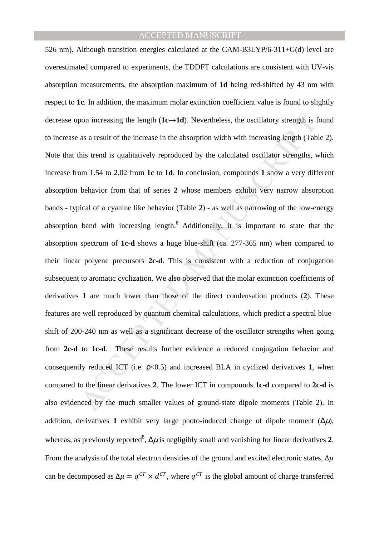pon increasing the length  $(1c\rightarrow1d)$ . Nevertheless, the oscillatory strength is as a result of the increase in the absorption width with increasing length (Tab<br>his trend is qualitatively reproduced by the calculated oscil 526 nm). Although transition energies calculated at the CAM-B3LYP/6-311+G(d) level are overestimated compared to experiments, the TDDFT calculations are consistent with UV-vis absorption measurements, the absorption maximum of **1d** being red-shifted by 43 nm with respect to **1c**. In addition, the maximum molar extinction coefficient value is found to slightly decrease upon increasing the length  $(1c \rightarrow 1d)$ . Nevertheless, the oscillatory strength is found to increase as a result of the increase in the absorption width with increasing length (Table 2). Note that this trend is qualitatively reproduced by the calculated oscillator strengths, which increase from 1.54 to 2.02 from **1c** to **1d**. In conclusion, compounds **1** show a very different absorption behavior from that of series **2** whose members exhibit very narrow absorption bands - typical of a cyanine like behavior (Table 2) - as well as narrowing of the low-energy absorption band with increasing length.<sup>8</sup> Additionally, it is important to state that the absorption spectrum of **1c-d** shows a huge blue-shift (ca. 277-365 nm) when compared to their linear polyene precursors **2c-d**. This is consistent with a reduction of conjugation subsequent to aromatic cyclization. We also observed that the molar extinction coefficients of derivatives **1** are much lower than those of the direct condensation products (**2**). These features are well reproduced by quantum chemical calculations, which predict a spectral blueshift of 200-240 nm as well as a significant decrease of the oscillator strengths when going from **2c-d** to **1c-d**. These results further evidence a reduced conjugation behavior and consequently reduced ICT (i.e.  $p<0.5$ ) and increased BLA in cyclized derivatives 1, when compared to the linear derivatives **2**. The lower ICT in compounds **1c-d** compared to **2c-d** is also evidenced by the much smaller values of ground-state dipole moments (Table 2). In addition, derivatives 1 exhibit very large photo-induced change of dipole moment  $(\Delta \mu)$ , whereas, as previously reported<sup>8</sup>,  $\Delta \mu$  is negligibly small and vanishing for linear derivatives 2. From the analysis of the total electron densities of the ground and excited electronic states,  $\Delta \mu$ can be decomposed as  $\Delta \mu = q^{CT} \times d^{CT}$ , where  $q^{CT}$  is the global amount of charge transferred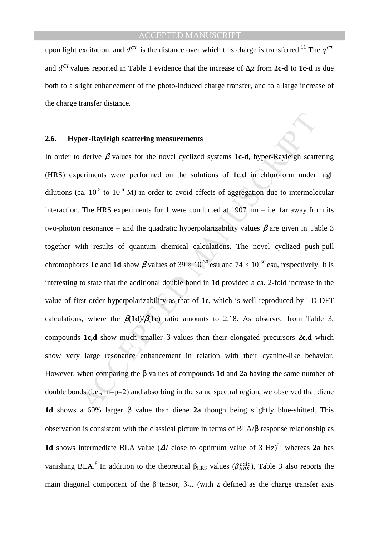upon light excitation, and  $d^{CT}$  is the distance over which this charge is transferred.<sup>11</sup> The  $q^{CT}$ and  $d^{CT}$  values reported in Table 1 evidence that the increase of  $\Delta \mu$  from 2c-d to 1c-d is due both to a slight enhancement of the photo-induced charge transfer, and to a large increase of the charge transfer distance.

#### **2.6. Hyper-Rayleigh scattering measurements**

**per-Rayleigh scattering measurements**<br>
derive β values for the novel cyclized systems **1c-d**, hyper-Rayleigh scatteriments were performed on the solutions of **1c,d** in chloroform under<br>
ca. 10<sup>5</sup> to 10<sup>6</sup> M) in order to In order to derive  $\beta$  values for the novel cyclized systems **1c-d**, hyper-Rayleigh scattering (HRS) experiments were performed on the solutions of **1c**,**d** in chloroform under high dilutions (ca.  $10^{-5}$  to  $10^{-6}$  M) in order to avoid effects of aggregation due to intermolecular interaction. The HRS experiments for 1 were conducted at  $1907$  nm  $-$  i.e. far away from its two-photon resonance – and the quadratic hyperpolarizability values  $\beta$  are given in Table 3 together with results of quantum chemical calculations. The novel cyclized push-pull chromophores **1c** and **1d** show  $\beta$  values of 39  $\times$  10<sup>-30</sup> esu and 74  $\times$  10<sup>-30</sup> esu, respectively. It is interesting to state that the additional double bond in **1d** provided a ca. 2-fold increase in the value of first order hyperpolarizability as that of **1c**, which is well reproduced by TD-DFT calculations, where the  $\beta(1d)/\beta(1c)$  ratio amounts to 2.18. As observed from Table 3, compounds **1c,d** show much smaller β values than their elongated precursors **2c,d** which show very large resonance enhancement in relation with their cyanine-like behavior. However, when comparing the β values of compounds **1d** and **2a** having the same number of double bonds (i.e.,  $m=p=2$ ) and absorbing in the same spectral region, we observed that diene **1d** shows a 60% larger β value than diene **2a** though being slightly blue-shifted. This observation is consistent with the classical picture in terms of BLA/β response relationship as **1d** shows intermediate BLA value ( $\Delta J$  close to optimum value of 3 Hz)<sup>2a</sup> whereas **2a** has vanishing BLA.<sup>8</sup> In addition to the theoretical  $\beta_{HRS}$  values ( $\beta_{HRS}^{calc}$ ), Table 3 also reports the main diagonal component of the  $\beta$  tensor,  $\beta_{zzz}$  (with z defined as the charge transfer axis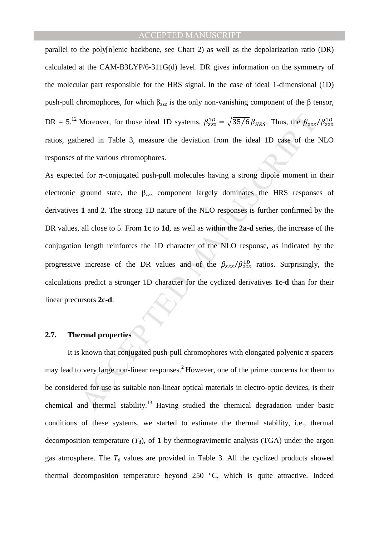parallel to the poly[n]enic backbone, see Chart 2) as well as the depolarization ratio (DR) calculated at the CAM-B3LYP/6-311G(d) level. DR gives information on the symmetry of the molecular part responsible for the HRS signal. In the case of ideal 1-dimensional (1D) push-pull chromophores, for which  $β_{zzz}$  is the only non-vanishing component of the β tensor, DR = 5.<sup>12</sup> Moreover, for those ideal 1D systems,  $\beta_{zzz}^{1D} = \sqrt{35/6} \beta_{HRS}$ . Thus, the  $\beta_{zzz}/\beta_{zzz}^{1D}$ ratios, gathered in Table 3, measure the deviation from the ideal 1D case of the NLO responses of the various chromophores.

Moreover, for those ideal 1D systems,  $\beta_{zz}^{1D} = \sqrt{35/6} \beta_{HRS}$ . Thus, the  $\beta_{zzz}$ <br>nered in Table 3, measure the deviation from the ideal 1D case of the<br>of the various chromophores.<br>At for  $\pi$ -conjugated push-pull mole As expected for  $\pi$ -conjugated push-pull molecules having a strong dipole moment in their electronic ground state, the  $\beta_{zzz}$  component largely dominates the HRS responses of derivatives **1** and **2**. The strong 1D nature of the NLO responses is further confirmed by the DR values, all close to 5. From **1c** to **1d**, as well as within the **2a-d** series, the increase of the conjugation length reinforces the 1D character of the NLO response, as indicated by the progressive increase of the DR values and of the  $\beta_{zzz}/\beta_{zzz}^{1D}$  ratios. Surprisingly, the calculations predict a stronger 1D character for the cyclized derivatives **1c-d** than for their linear precursors **2c-d**.

## **2.7. Thermal properties**

It is known that conjugated push-pull chromophores with elongated polyenic  $\pi$ -spacers may lead to very large non-linear responses.<sup>2</sup> However, one of the prime concerns for them to be considered for use as suitable non-linear optical materials in electro-optic devices, is their chemical and thermal stability.<sup>13</sup> Having studied the chemical degradation under basic conditions of these systems, we started to estimate the thermal stability, i.e., thermal decomposition temperature  $(T_d)$ , of 1 by thermogravimetric analysis (TGA) under the argon gas atmosphere. The  $T<sub>d</sub>$  values are provided in Table 3. All the cyclized products showed thermal decomposition temperature beyond 250 °C, which is quite attractive. Indeed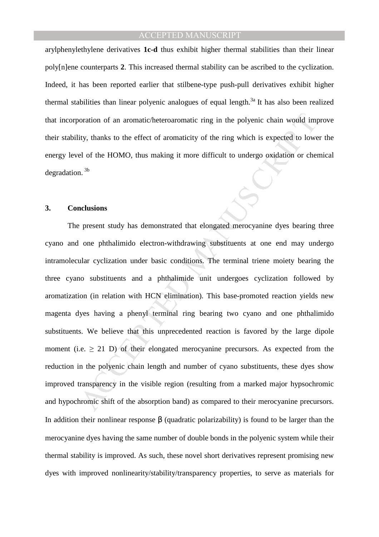arylphenylethylene derivatives **1c-d** thus exhibit higher thermal stabilities than their linear poly[n]ene counterparts **2**. This increased thermal stability can be ascribed to the cyclization. Indeed, it has been reported earlier that stilbene-type push-pull derivatives exhibit higher thermal stabilities than linear polyenic analogues of equal length.<sup>3a</sup> It has also been realized that incorporation of an aromatic/heteroaromatic ring in the polyenic chain would improve their stability, thanks to the effect of aromaticity of the ring which is expected to lower the energy level of the HOMO, thus making it more difficult to undergo oxidation or chemical degradation.<sup>3b</sup>

#### **3. Conclusions**

oration of an aromatic/heteroaromatic ring in the polyenic chain would im<br>ity, thanks to the effect of aromaticity of the ring which is expected to lowe<br>el of the HOMO, thus making it more difficult to undergo oxidation o The present study has demonstrated that elongated merocyanine dyes bearing three cyano and one phthalimido electron-withdrawing substituents at one end may undergo intramolecular cyclization under basic conditions. The terminal triene moiety bearing the three cyano substituents and a phthalimide unit undergoes cyclization followed by aromatization (in relation with HCN elimination). This base-promoted reaction yields new magenta dyes having a phenyl terminal ring bearing two cyano and one phthalimido substituents. We believe that this unprecedented reaction is favored by the large dipole moment (i.e.  $\geq$  21 D) of their elongated merocyanine precursors. As expected from the reduction in the polyenic chain length and number of cyano substituents, these dyes show improved transparency in the visible region (resulting from a marked major hypsochromic and hypochromic shift of the absorption band) as compared to their merocyanine precursors. In addition their nonlinear response β (quadratic polarizability) is found to be larger than the merocyanine dyes having the same number of double bonds in the polyenic system while their thermal stability is improved. As such, these novel short derivatives represent promising new dyes with improved nonlinearity/stability/transparency properties, to serve as materials for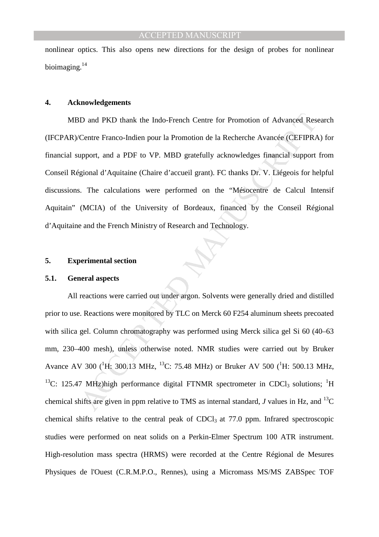nonlinear optics. This also opens new directions for the design of probes for nonlinear bioimaging.<sup>14</sup>

#### **4. Acknowledgements**

 MBD and PKD thank the Indo-French Centre for Promotion of Advanced Research (IFCPAR)/Centre Franco-Indien pour la Promotion de la Recherche Avancée (CEFIPRA) for financial support, and a PDF to VP. MBD gratefully acknowledges financial support from Conseil Régional d'Aquitaine (Chaire d'accueil grant). FC thanks Dr. V. Liégeois for helpful discussions. The calculations were performed on the "Mésocentre de Calcul Intensif Aquitain" (MCIA) of the University of Bordeaux, financed by the Conseil Régional d'Aquitaine and the French Ministry of Research and Technology.

#### **5. Experimental section**

#### **5.1. General aspects**

*iD* and PKD thank the Indo-French Centre for Promotion of Advanced Res<br>
Centre Franco-Indien pour la Promotion de la Recherche Avancée (CEFIPRA)<br>
upport, and a PDF to VP. MBD gratefully acknowledges financial support<br>
gi All reactions were carried out under argon. Solvents were generally dried and distilled prior to use. Reactions were monitored by TLC on Merck 60 F254 aluminum sheets precoated with silica gel. Column chromatography was performed using Merck silica gel Si 60 (40–63 mm, 230–400 mesh), unless otherwise noted. NMR studies were carried out by Bruker Avance AV 300 ( ${}^{1}$ H: 300.13 MHz,  ${}^{13}$ C: 75.48 MHz) or Bruker AV 500 ( ${}^{1}$ H: 500.13 MHz, <sup>13</sup>C: 125.47 MHz)high performance digital FTNMR spectrometer in CDCl<sub>3</sub> solutions; <sup>1</sup>H chemical shifts are given in ppm relative to TMS as internal standard, *J* values in Hz, and <sup>13</sup>C chemical shifts relative to the central peak of CDCl<sub>3</sub> at  $77.0$  ppm. Infrared spectroscopic studies were performed on neat solids on a Perkin-Elmer Spectrum 100 ATR instrument. High-resolution mass spectra (HRMS) were recorded at the Centre Régional de Mesures Physiques de l'Ouest (C.R.M.P.O., Rennes), using a Micromass MS/MS ZABSpec TOF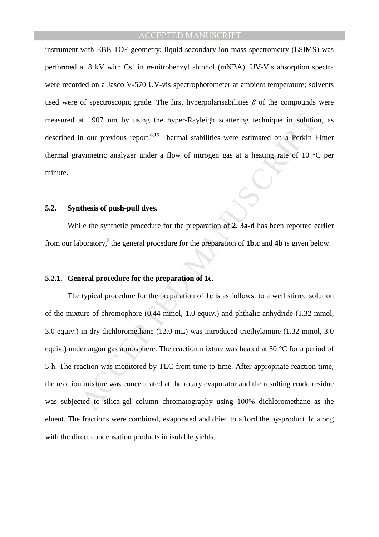instrument with EBE TOF geometry; liquid secondary ion mass spectrometry (LSIMS) was performed at 8 kV with Cs<sup>+</sup> in *m*-nitrobenzyl alcohol (mNBA). UV-Vis absorption spectra were recorded on a Jasco V-570 UV-vis spectrophotometer at ambient temperature; solvents used were of spectroscopic grade. The first hyperpolarisabilities  $\beta$  of the compounds were measured at 1907 nm by using the hyper-Rayleigh scattering technique in solution, as described in our previous report.<sup>8,15</sup> Thermal stabilities were estimated on a Perkin Elmer thermal gravimetric analyzer under a flow of nitrogen gas at a heating rate of 10 °C per minute.

#### **5.2. Synthesis of push-pull dyes.**

 While the synthetic procedure for the preparation of **2**, **3a-d** has been reported earlier from our laboratory,<sup>8</sup>the general procedure for the preparation of **1b**,**c** and **4b** is given below.

### **5.2.1. General procedure for the preparation of 1c.**

at 1907 nm by using the hyper-Rayleigh scattering technique in solutio<br>in our previous report.<sup>8,15</sup> Thermal stabilities were estimated on a Perkin F<br>avimetric analyzer under a flow of nitrogen gas at a heating rate of 10 The typical procedure for the preparation of **1c** is as follows: to a well stirred solution of the mixture of chromophore (0.44 mmol, 1.0 equiv.) and phthalic anhydride (1.32 mmol, 3.0 equiv.) in dry dichloromethane (12.0 mL) was introduced triethylamine (1.32 mmol, 3.0 equiv.) under argon gas atmosphere. The reaction mixture was heated at 50 °C for a period of 5 h. The reaction was monitored by TLC from time to time. After appropriate reaction time, the reaction mixture was concentrated at the rotary evaporator and the resulting crude residue was subjected to silica-gel column chromatography using 100% dichloromethane as the eluent. The fractions were combined, evaporated and dried to afford the by-product **1c** along with the direct condensation products in isolable yields.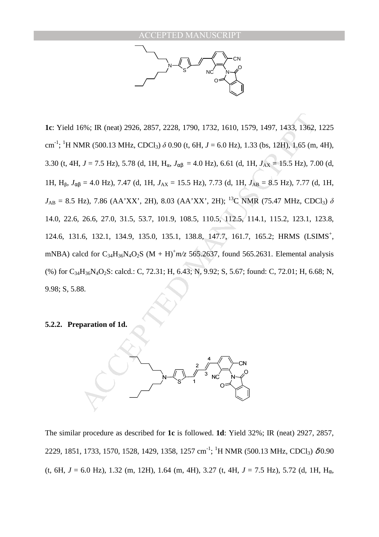N S CN NC N O O

6%; IR (neat) 2926, 2857, 2228, 1790, 1732, 1610, 1579, 1497, 1433, 1362,<br>MR (500.13 MHz, CDC1<sub>3</sub>)  $\delta$  0.90 (t, 6H,  $J = 6.0$  Hz), 1.33 (bs, 12H), 1.65 (m,<br> $J = 7.5$  Hz), 5.78 (d, 1H, H<sub>ay</sub>  $J_{\text{eq}} = 4.0$  Hz), 6.61 (d, 1H, **1c**: Yield 16%; IR (neat) 2926, 2857, 2228, 1790, 1732, 1610, 1579, 1497, 1433, 1362, 1225 cm<sup>-1</sup>; <sup>1</sup>H NMR (500.13 MHz, CDCl<sub>3</sub>) *δ* 0.90 (t, 6H, *J* = 6.0 Hz), 1.33 (bs, 12H), 1.65 (m, 4H), 3.30 (t, 4H, *J* = 7.5 Hz), 5.78 (d, 1H,  $H_{\alpha}$ ,  $J_{\alpha\beta}$  = 4.0 Hz), 6.61 (d, 1H,  $J_{AX}$  = 15.5 Hz), 7.00 (d, 1H, Hβ, *J*αβ = 4.0 Hz), 7.47 (d, 1H, *J*AX = 15.5 Hz), 7.73 (d, 1H, *J*AB = 8.5 Hz), 7.77 (d, 1H,  $J_{AB} = 8.5$  Hz), 7.86 (AA'XX', 2H), 8.03 (AA'XX', 2H); <sup>13</sup>C NMR (75.47 MHz, CDCl<sub>3</sub>)  $\delta$ 14.0, 22.6, 26.6, 27.0, 31.5, 53.7, 101.9, 108.5, 110.5, 112.5, 114.1, 115.2, 123.1, 123.8, 124.6, 131.6, 132.1, 134.9, 135.0, 135.1, 138.8, 147.7, 161.7, 165.2; HRMS (LSIMS<sup>+</sup>, mNBA) calcd for  $C_{34}H_{36}N_4O_2S$  (M + H)<sup>+</sup> $m/z$  565.2637, found 565.2631. Elemental analysis (%) for C34H36N4O2S: calcd.: C, 72.31; H, 6.43; N, 9.92; S, 5.67; found: C, 72.01; H, 6.68; N, 9.98; S, 5.88.

#### **5.2.2. Preparation of 1d.**



The similar procedure as described for **1c** is followed. **1d**: Yield 32%; IR (neat) 2927, 2857, 2229, 1851, 1733, 1570, 1528, 1429, 1358, 1257 cm<sup>-1</sup>; <sup>1</sup>H NMR (500.13 MHz, CDCl<sub>3</sub>)  $\delta$ 0.90 (t, 6H,  $J = 6.0$  Hz), 1.32 (m, 12H), 1.64 (m, 4H), 3.27 (t, 4H,  $J = 7.5$  Hz), 5.72 (d, 1H, H<sub>α</sub>,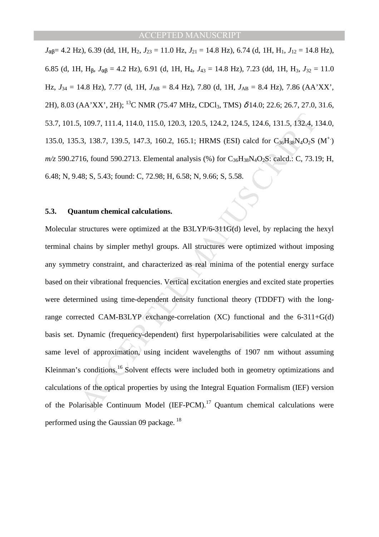$J_{\alpha\beta}$ = 4.2 Hz), 6.39 (dd, 1H, H<sub>2</sub>,  $J_{23}$  = 11.0 Hz,  $J_{21}$  = 14.8 Hz), 6.74 (d, 1H, H<sub>1</sub>,  $J_{12}$  = 14.8 Hz), 6.85 (d, 1H, H<sub>8</sub>,  $J_{\alpha\beta} = 4.2$  Hz), 6.91 (d, 1H, H<sub>4</sub>,  $J_{43} = 14.8$  Hz), 7.23 (dd, 1H, H<sub>3</sub>,  $J_{32} = 11.0$ Hz, *J*34 = 14.8 Hz), 7.77 (d, 1H, *J*AB = 8.4 Hz), 7.80 (d, 1H, *J*AB = 8.4 Hz), 7.86 (AA'XX', 2H), 8.03 (AA'XX', 2H); <sup>13</sup>C NMR (75.47 MHz, CDCl<sub>3</sub>, TMS)  $\delta$  14.0; 22.6; 26.7, 27.0, 31.6, 53.7, 101.5, 109.7, 111.4, 114.0, 115.0, 120.3, 120.5, 124.2, 124.5, 124.6, 131.5, 132.4, 134.0, 135.0, 135.3, 138.7, 139.5, 147.3, 160.2, 165.1; HRMS (ESI) calcd for  $C_{36}H_{38}N_4O_2S$  (M<sup>+</sup>)  $m/z$  590.2716, found 590.2713. Elemental analysis (%) for  $C_{36}H_{38}N_4O_2S$ : calcd.: C, 73.19; H, 6.48; N, 9.48; S, 5.43; found: C, 72.98; H, 6.58; N, 9.66; S, 5.58.

#### **5.3. Quantum chemical calculations.**

1, 109.7, 111.4, 114.0, 115.0, 120.3, 120.5, 124.2, 124.5, 124.6, 131.5, 132.4, 1<br>
3, 138.7, 139.5, 147.3, 160.2, 165.1; HRMS (ESI) calcd for  $C_{26}H_{88}N_4O_2S$ <br>
16, found 590.2713. Elemental analysis (%) for  $C_{36}H_{38}$ Molecular structures were optimized at the B3LYP/6-311G(d) level, by replacing the hexyl terminal chains by simpler methyl groups. All structures were optimized without imposing any symmetry constraint, and characterized as real minima of the potential energy surface based on their vibrational frequencies. Vertical excitation energies and excited state properties were determined using time-dependent density functional theory (TDDFT) with the longrange corrected CAM-B3LYP exchange-correlation (XC) functional and the 6-311+G(d) basis set. Dynamic (frequency-dependent) first hyperpolarisabilities were calculated at the same level of approximation, using incident wavelengths of 1907 nm without assuming Kleinman's conditions.<sup>16</sup> Solvent effects were included both in geometry optimizations and calculations of the optical properties by using the Integral Equation Formalism (IEF) version of the Polarisable Continuum Model (IEF-PCM).<sup>17</sup> Quantum chemical calculations were performed using the Gaussian  $09$  package.<sup>18</sup>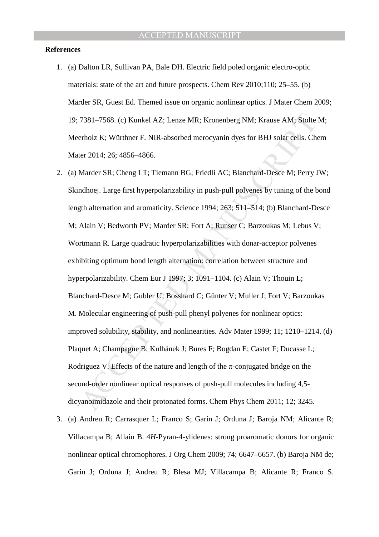#### **References**

- 1. (a) Dalton LR, Sullivan PA, Bale DH. Electric field poled organic electro-optic materials: state of the art and future prospects. Chem Rev 2010;110; 25–55. (b) Marder SR, Guest Ed. Themed issue on organic nonlinear optics. J Mater Chem 2009; 19; 7381–7568. (c) Kunkel AZ; Lenze MR; Kronenberg NM; Krause AM; Stolte M; Meerholz K; Würthner F. NIR-absorbed merocyanin dyes for BHJ solar cells. Chem Mater 2014; 26; 4856–4866.
- 7381–7568. (c) Kunkel AZ; Lenze MR; Kronenberg NM; Krause AM; Stolte<br>erholz K; Würthner F. NIR-absorbed merocyanin dyes for BHJ solar cells. Ch<br>erholz K; Würthner F. NIR-absorbed merocyanin dyes for BHJ solar cells. Ch<br>er 2. (a) Marder SR; Cheng LT; Tiemann BG; Friedli AC; Blanchard-Desce M; Perry JW; Skindhoej. Large first hyperpolarizability in push-pull polyenes by tuning of the bond length alternation and aromaticity. Science 1994; 263; 511–514; (b) Blanchard-Desce M; Alain V; Bedworth PV; Marder SR; Fort A; Runser C; Barzoukas M; Lebus V; Wortmann R. Large quadratic hyperpolarizabilities with donar-acceptor polyenes exhibiting optimum bond length alternation: correlation between structure and hyperpolarizability. Chem Eur J 1997; 3; 1091–1104. (c) Alain V; Thouin L; Blanchard-Desce M; Gubler U; Bosshard C; Günter V; Muller J; Fort V; Barzoukas M. Molecular engineering of push-pull phenyl polyenes for nonlinear optics: improved solubility, stability, and nonlinearities. Adv Mater 1999; 11; 1210–1214. (d) Plaquet A; Champagne B; Kulhánek J; Bures F; Bogdan E; Castet F; Ducasse L; Rodriguez V. Effects of the nature and length of the  $\pi$ -conjugated bridge on the second-order nonlinear optical responses of push-pull molecules including 4,5 dicyanoimidazole and their protonated forms. Chem Phys Chem 2011; 12; 3245.
- 3. (a) Andreu R; Carrasquer L; Franco S; Garín J; Orduna J; Baroja NM; Alicante R; Villacampa B; Allain B. 4*H*-Pyran-4-ylidenes: strong proaromatic donors for organic nonlinear optical chromophores. J Org Chem 2009; 74; 6647–6657. (b) Baroja NM de; Garín J; Orduna J; Andreu R; Blesa MJ; Villacampa B; Alicante R; Franco S.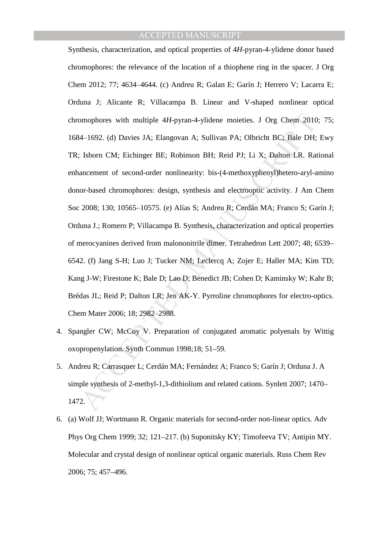omophores with multiple 4*H*-pyran-4-ylidene moieties. J Org Chem 2010<br>44–1692. (d) Davies JA; Elangovan A; Sullivan PA; Olbricht BC; Bale DH;<br>1600 IM; Eichinger BE; Robinson BH; Reid PJ; Li X; Dalton LR. Rat<br>ancement of s Synthesis, characterization, and optical properties of 4*H*-pyran-4-ylidene donor based chromophores: the relevance of the location of a thiophene ring in the spacer. J Org Chem 2012; 77; 4634–4644. (c) Andreu R; Galan E; Garín J; Herrero V; Lacarra E; Orduna J; Alicante R; Villacampa B. Linear and V-shaped nonlinear optical chromophores with multiple 4*H*-pyran-4-ylidene moieties. J Org Chem 2010; 75; 1684‒1692. (d) Davies JA; Elangovan A; Sullivan PA; Olbricht BC; Bale DH; Ewy TR; Isborn CM; Eichinger BE; Robinson BH; Reid PJ; Li X; Dalton LR. Rational enhancement of second-order nonlinearity: bis-(4-methoxyphenyl)hetero-aryl-amino donor-based chromophores: design, synthesis and electrooptic activity. J Am Chem Soc 2008; 130; 10565-10575. (e) Alías S; Andreu R; Cerdán MA; Franco S; Garín J; Orduna J.; Romero P; Villacampa B. Synthesis, characterization and optical properties of merocyanines derived from malononitrile dimer. Tetrahedron Lett 2007; 48; 6539– 6542. (f) Jang S-H; Luo J; Tucker NM; Leclercq A; Zojer E; Haller MA; Kim TD; Kang J-W; Firestone K; Bale D; Lao D; Benedict JB; Cohen D; Kaminsky W; Kahr B; Brédas JL; Reid P; Dalton LR; Jen AK-Y. Pyrroline chromophores for electro-optics. Chem Mater 2006; 18; 2982-2988.

- 4. Spangler CW; McCoy V. Preparation of conjugated aromatic polyenals by Wittig oxopropenylation. Synth Commun 1998;18; 51–59.
- 5. Andreu R; Carrasquer L; Cerdán MA; Fernández A; Franco S; Garín J; Orduna J. A simple synthesis of 2-methyl-1,3-dithiolium and related cations. Synlett 2007; 1470– 1472.
- 6. (a) Wolf JJ; Wortmann R. Organic materials for second-order non-linear optics. Adv Phys Org Chem 1999; 32; 121–217. (b) Suponitsky KY; Timofeeva TV; Antipin MY. Molecular and crystal design of nonlinear optical organic materials. Russ Chem Rev 2006; 75; 457–496.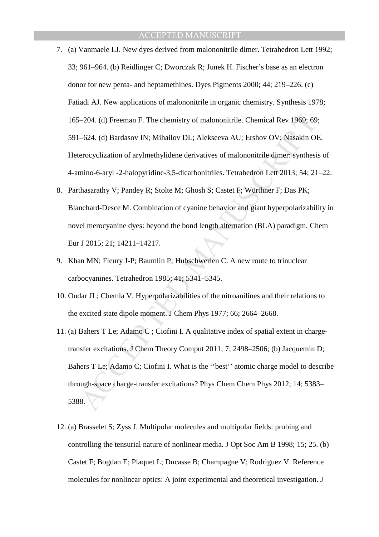- 7. (a) Vanmaele LJ. New dyes derived from malononitrile dimer. Tetrahedron Lett 1992; 33; 961–964. (b) Reidlinger C; Dworczak R; Junek H. Fischer's base as an electron donor for new penta- and heptamethines. Dyes Pigments 2000; 44; 219–226. (c) Fatiadi AJ. New applications of malononitrile in organic chemistry. Synthesis 1978; 165–204. (d) Freeman F. The chemistry of malononitrile. Chemical Rev 1969; 69; 591–624. (d) Bardasov IN; Mihailov DL; Alekseeva AU; Ershov OV; Nasakin OE. Heterocyclization of arylmethylidene derivatives of malononitrile dimer: synthesis of 4-amino-6-aryl -2-halopyridine-3,5-dicarbonitriles. Tetrahedron Lett 2013; 54; 21–22.
- 8. Parthasarathy V; Pandey R; Stolte M; Ghosh S; Castet F; Würthner F; Das PK; Blanchard-Desce M. Combination of cyanine behavior and giant hyperpolarizability in novel merocyanine dyes: beyond the bond length alternation (BLA) paradigm. Chem Eur J 2015; 21; 14211-14217.
- 9. Khan MN; Fleury J-P; Baumlin P; Hubschwerlen C. A new route to trinuclear carbocyanines. Tetrahedron 1985; 41; 5341–5345.
- 10. Oudar JL; Chemla V. Hyperpolarizabilities of the nitroanilines and their relations to the excited state dipole moment. J Chem Phys 1977; 66; 2664–2668.
- i–204. (d) Freeman F. The chemistry of malononitrile. Chemical Rev 1969; 69<br>
–624. (d) Bardasov IN; Mihailov DL; Alekseeva AU; Ershov OV; Nasakin Ol<br>
erocyclization of arylmethylidene derivatives of malononitrile dimer: s 11. (a) Bahers T Le; Adamo C ; Ciofini I. A qualitative index of spatial extent in chargetransfer excitations. J Chem Theory Comput 2011; 7; 2498–2506; (b) Jacquemin D; Bahers T Le; Adamo C; Ciofini I. What is the ''best'' atomic charge model to describe through-space charge-transfer excitations? Phys Chem Chem Phys 2012; 14; 5383– 5388.
- 12. (a) Brasselet S; Zyss J. Multipolar molecules and multipolar fields: probing and controlling the tensurial nature of nonlinear media. J Opt Soc Am B 1998; 15; 25. (b) Castet F; Bogdan E; Plaquet L; Ducasse B; Champagne V; Rodriguez V. Reference molecules for nonlinear optics: A joint experimental and theoretical investigation. J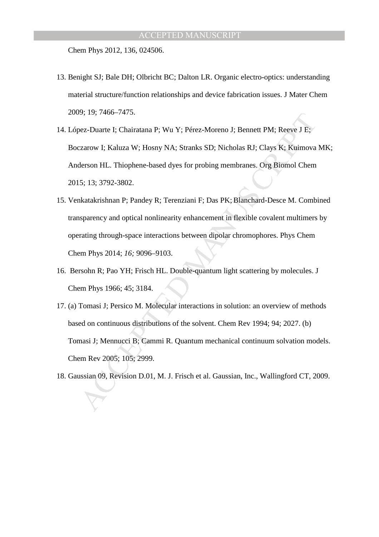Chem Phys 2012, 136, 024506.

- 13. Benight SJ; Bale DH; Olbricht BC; Dalton LR. Organic electro-optics: understanding material structure/function relationships and device fabrication issues. J Mater Chem 2009; 19; 7466–7475.
- 14. López-Duarte I; Chairatana P; Wu Y; Pérez-Moreno J; Bennett PM; Reeve J E; Boczarow I; Kaluza W; Hosny NA; Stranks SD; Nicholas RJ; Clays K; Kuimova MK; Anderson HL. Thiophene-based dyes for probing membranes. Org Biomol Chem 2015; 13; 3792-3802.
- 19; 19; 1400–1413.<br>
Evez-Duarte I; Chairatana P; Wu Y; Pérez-Moreno J; Bennett PM; Reeve J E; Exarow I; Kaluza W; Hosny NA; Stranks SD; Nicholas RJ; Clays K; Kuimova<br>
derson HL. Thiophene-based dyes for probing membranes. 15. Venkatakrishnan P; Pandey R; Terenziani F; Das PK; Blanchard-Desce M. Combined transparency and optical nonlinearity enhancement in flexible covalent multimers by operating through-space interactions between dipolar chromophores. Phys Chem Chem Phys 2014; *16;* 9096–9103.
- 16. Bersohn R; Pao YH; Frisch HL. Double-quantum light scattering by molecules. J Chem Phys 1966; 45; 3184.
- 17. (a) Tomasi J; Persico M. Molecular interactions in solution: an overview of methods based on continuous distributions of the solvent. Chem Rev 1994; 94; 2027. (b) Tomasi J; Mennucci B; Cammi R. Quantum mechanical continuum solvation models. Chem Rev 2005; 105; 2999.
- 18. Gaussian 09, Revision D.01, M. J. Frisch et al. Gaussian, Inc., Wallingford CT, 2009.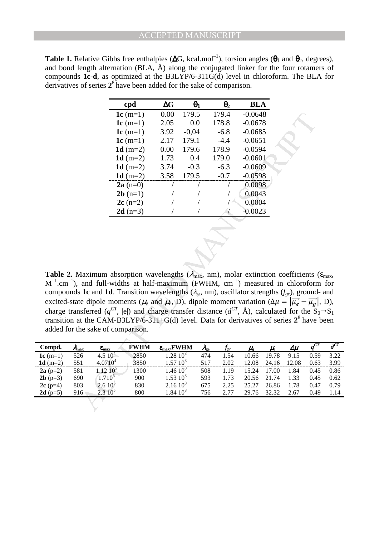| <b>Table 1.</b> Relative Gibbs free enthalpies ( $\Delta G$ , kcal.mol <sup>-1</sup> ), torsion angles ( $\theta_1$ and $\theta_2$ , degrees), |
|------------------------------------------------------------------------------------------------------------------------------------------------|
| and bond length alternation (BLA, $\AA$ ) along the conjugated linker for the four rotamers of                                                 |
| compounds 1c-d, as optimized at the B3LYP/6-311G(d) level in chloroform. The BLA for                                                           |
| derivatives of series $2^8$ have been added for the sake of comparison.                                                                        |

|                                       |                                                                                                                                                                                                                                                                                                                                                                                                                                                                                                                                                                                                                            | cpd         | $\Delta G$                        | $\theta_1$ | $\Theta_2$                         | <b>BLA</b>    |                              |              |         |
|---------------------------------------|----------------------------------------------------------------------------------------------------------------------------------------------------------------------------------------------------------------------------------------------------------------------------------------------------------------------------------------------------------------------------------------------------------------------------------------------------------------------------------------------------------------------------------------------------------------------------------------------------------------------------|-------------|-----------------------------------|------------|------------------------------------|---------------|------------------------------|--------------|---------|
|                                       |                                                                                                                                                                                                                                                                                                                                                                                                                                                                                                                                                                                                                            | 1 $c(m=1)$  | 0.00                              | 179.5      | 179.4                              | $-0.0648$     |                              |              |         |
|                                       |                                                                                                                                                                                                                                                                                                                                                                                                                                                                                                                                                                                                                            | 1 $c(m=1)$  | 2.05                              | 0.0        | 178.8                              | $-0.0678$     |                              |              |         |
|                                       |                                                                                                                                                                                                                                                                                                                                                                                                                                                                                                                                                                                                                            | 1 $c(m=1)$  | 3.92                              | $-0,04$    | $-6.8$                             | $-0.0685$     |                              |              |         |
|                                       |                                                                                                                                                                                                                                                                                                                                                                                                                                                                                                                                                                                                                            | 1 $c(m=1)$  | 2.17                              | 179.1      | $-4.4$                             | $-0.0651$     |                              |              |         |
|                                       |                                                                                                                                                                                                                                                                                                                                                                                                                                                                                                                                                                                                                            | 1 $d(m=2)$  | 0.00                              | 179.6      | 178.9                              | $-0.0594$     |                              |              |         |
|                                       |                                                                                                                                                                                                                                                                                                                                                                                                                                                                                                                                                                                                                            | 1 $d(m=2)$  | 1.73                              | 0.4        | 179.0                              | $-0.0601$     |                              |              |         |
|                                       |                                                                                                                                                                                                                                                                                                                                                                                                                                                                                                                                                                                                                            | 1 $d(m=2)$  | 3.74                              | $-0.3$     | $-6.3$                             | $-0.0609$     |                              |              |         |
|                                       |                                                                                                                                                                                                                                                                                                                                                                                                                                                                                                                                                                                                                            | 1 $d(m=2)$  | 3.58                              | 179.5      | $-0.7$                             | $-0.0598$     |                              |              |         |
|                                       |                                                                                                                                                                                                                                                                                                                                                                                                                                                                                                                                                                                                                            | $2a(n=0)$   |                                   | Т          |                                    | 0.0098        |                              |              |         |
|                                       |                                                                                                                                                                                                                                                                                                                                                                                                                                                                                                                                                                                                                            | $2b(n=1)$   | 7                                 |            |                                    | 0.0043        |                              |              |         |
|                                       |                                                                                                                                                                                                                                                                                                                                                                                                                                                                                                                                                                                                                            | $2c(n=2)$   |                                   |            |                                    | 0.0004        |                              |              |         |
|                                       |                                                                                                                                                                                                                                                                                                                                                                                                                                                                                                                                                                                                                            | $2d (n=3)$  |                                   |            |                                    | $-0.0023$     |                              |              |         |
|                                       |                                                                                                                                                                                                                                                                                                                                                                                                                                                                                                                                                                                                                            |             |                                   |            |                                    |               |                              |              |         |
|                                       | Maximum absorption wavelengths ( $\lambda_{\text{max}}$ , nm), molar extinction coefficients<br>and full-widths at half-maximum (FWHM, $cm^{-1}$ ) measured in chloroform<br>s 1c and 1d. Transition wavelengths ( $\lambda_{ge}$ , nm), oscillator strengths ( $f_{ge}$ ), ground<br>te dipole moments ( $\mu_{g}$ and $\mu_{e}$ , D), dipole moment variation ( $\Delta \mu =  \vec{\mu}_{e} - \vec{\mu}_{g} $<br>isferred $(q^{CT},  e )$ and charge transfer distance $(d^{CT}, \AA)$ , calculated for the S<br>at the CAM-B3LYP/6-311+G(d) level. Data for derivatives of series $2^8$ have<br>he sake of comparison. |             |                                   |            |                                    |               |                              |              |         |
|                                       |                                                                                                                                                                                                                                                                                                                                                                                                                                                                                                                                                                                                                            | <b>FWHM</b> | $\varepsilon_{\text{max}}$ . FWHM |            | $f_{\rm ge}$<br>$\lambda_{\rm ee}$ | $\mu_{\rm c}$ | $\mu_{\scriptscriptstyle e}$ | $\Delta \mu$ | $q^{C}$ |
| nax<br>26                             | $\epsilon_{\rm max}$<br>$4.510^{4}$                                                                                                                                                                                                                                                                                                                                                                                                                                                                                                                                                                                        | 2850        | $1.28~10^{8}$                     |            | 474<br>1.54                        | 10.66         | 19.78                        | 9.15         | 0.5     |
| 51                                    | $4.0710^{4}$                                                                                                                                                                                                                                                                                                                                                                                                                                                                                                                                                                                                               | 3850        | $1.57~10^8$                       |            | 517<br>2.02                        | 12.08         | 24.16                        | 12.08        | 0.6     |
| $\overline{\overline{\overline{31}}}$ | $1.12\;10^5$                                                                                                                                                                                                                                                                                                                                                                                                                                                                                                                                                                                                               | 1300        | $1.46~10^8$                       |            | 508<br>1.19                        | 15.24         | 17.00                        | 1.84         | 0.4     |
| $\overline{\omega}$                   | $1.710^{5}$                                                                                                                                                                                                                                                                                                                                                                                                                                                                                                                                                                                                                | 900         | $1.53~10^{8}$                     |            | 593<br>1.73                        | 20.56         | 21.74                        | 1.33         | 0.4     |
| $\overline{3}$                        | $2.610^5$                                                                                                                                                                                                                                                                                                                                                                                                                                                                                                                                                                                                                  | 830         | $2.1610^{8}$                      |            | 675<br>2.25                        | 25.27         | 26.86                        | 1.78         | 0.4     |
| 16 <sup>1</sup>                       | $2.310^5$                                                                                                                                                                                                                                                                                                                                                                                                                                                                                                                                                                                                                  | 800         | $1.84~10^{8}$                     |            | 756<br>2.77                        | 29.76         | 32.32                        | 2.67         | 0.4     |
|                                       |                                                                                                                                                                                                                                                                                                                                                                                                                                                                                                                                                                                                                            |             |                                   |            |                                    |               |                              |              |         |

**Table 2.** Maximum absorption wavelengths ( $\lambda_{\text{max}}$ , nm), molar extinction coefficients ( $\epsilon_{\text{max}}$ ,  $M^{-1}$ .cm<sup>-1</sup>), and full-widths at half-maximum (FWHM, cm<sup>-1</sup>) measured in chloroform for compounds **1c** and **1d**. Transition wavelengths (<sup>λ</sup>ge, nm), oscillator strengths (*fge*), ground- and excited-state dipole moments ( $\mu_{g}$  and  $\mu_{e}$ , D), dipole moment variation ( $\Delta \mu = |\vec{\mu}_{e} - \vec{\mu}_{g}|$ , D), charge transferred ( $q^{CT}$ , |e|) and charge transfer distance ( $d^{CT}$ , Å), calculated for the  $S_0 \rightarrow S_1$ transition at the CAM-B3LYP/6-311+G(d) level. Data for derivatives of series  $2^8$  have been added for the sake of comparison.

| Compd.              | $\lambda_{\rm max}$ | $\epsilon_{\rm max}$ | <b>FWHM</b> | $\varepsilon_{\text{max}}$ . FWHM | $\lambda_{\rm ee}$ | J ge | $\mu_{\scriptscriptstyle\! P}$ | $\mu_{\scriptscriptstyle e}$ | $\Delta \mu$ |      | $d^{CT}$ |
|---------------------|---------------------|----------------------|-------------|-----------------------------------|--------------------|------|--------------------------------|------------------------------|--------------|------|----------|
| 1c $(m=1)$          | 526                 | $4.510^{4}$          | 2850        | $1.2810^{8}$                      | 474                | 1.54 | 10.66                          | 19.78                        | 9.15         | 0.59 | 3.22     |
| 1d $(m=2)$          | 551                 | $4.0710^{4}$         | 3850        | $1.5710^{8}$                      | 517                | 2.02 | 12.08                          | 24.16                        | 12.08        | 0.63 | 3.99     |
| $2a(p=2)$           | 581                 | $1.12~10^{5}$        | 1300        | $1.46~10^{8}$                     | 508                | 1.19 | 15.24                          | .00                          | 1.84         | 0.45 | 0.86     |
| <b>2b</b> ( $p=3$ ) | 690                 | $1.710^5$            | 900         | $1.5310^{8}$                      | 593                | 1.73 | 20.56                          | 21.74                        | 1.33         | 0.45 | 0.62     |
| $2c(p=4)$           | 803                 | 2.610 <sup>5</sup>   | 830         | $2.1610^{8}$                      | 675                | 2.25 | 25.27                          | 26.86                        | 1.78         | 0.47 | 0.79     |
| $2d(p=5)$           | 916                 | $2.3 \, 10^5$        | 800         | $1.84~10^{8}$                     | 756                | 2.77 | 29.76                          | 32.32                        | 2.67         | 0.49 | 1.14     |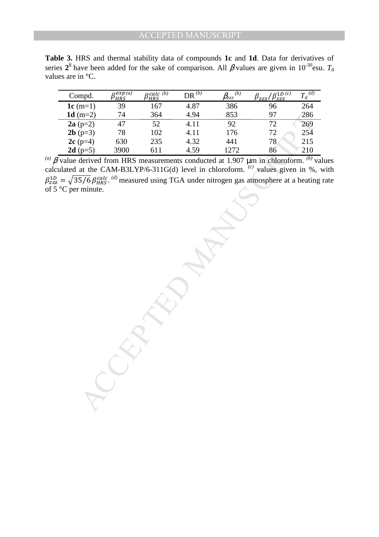**Table 3.** HRS and thermal stability data of compounds **1c** and **1d**. Data for derivatives of series  $2^8$  have been added for the sake of comparison. All  $\beta$  values are given in 10<sup>-30</sup>esu.  $T_d$ values are in °C.

| Compd.              | exp(a)<br>'HRS | $\alpha$ calc $(b)$<br>PHRS | $DR^{(b)}$ | (b)<br>$\beta_{\rm ZZ}$ | $\rho$ 1D $(c)$<br>$\beta_{ZZZ}$ / $\beta_{ZZZ}^{2D}$ | ${T_{\rm d}}^{(d)}$ |
|---------------------|----------------|-----------------------------|------------|-------------------------|-------------------------------------------------------|---------------------|
| 1c $(m=1)$          | 39             | 167                         | 4.87       | 386                     | 96                                                    | 264                 |
| 1d $(m=2)$          | 74             | 364                         | 4.94       | 853                     | 97                                                    | 286                 |
| $2a(p=2)$           | 47             | 52                          | 4.11       | 92                      | 72                                                    | 269                 |
| $2b$ (p=3)          | 78             | 102                         | 4.11       | 176                     | 72                                                    | 254                 |
| $2c(p=4)$           | 630            | 235                         | 4.32       | 441                     | 78                                                    | 215                 |
| <b>2d</b> ( $p=5$ ) | 3900           | 611                         | 4.59       | 1272                    | 86                                                    | 210                 |

 $<sup>(a)</sup>$  β value derived from HRS measurements conducted at 1.907 μm in chloroform. <sup>(b)</sup> values</sup> calculated at the CAM-B3LYP/6-311G(d) level in chloroform. *(c)* values given in %, with  $\beta_{zzz}^{1D} = \sqrt{35/6} \beta_{HRS}^{calc. (d)}$  measured using TGA under nitrogen gas atmosphere at a heating rate of 5 °C per minute.

m=2) 74 364 4.94 4.11 92 853 97 286<br>
(p-2) 47 52 4.11 92 72 286<br>
(p-3) 78 102 4.11 176 72 254<br>
(p-5) 3900 611 4.59 1272 86 210<br>
derived from HRS measurements conducted at 1.907 µm in chloroform. <sup>(b)</sup> v<br>
derived from HRS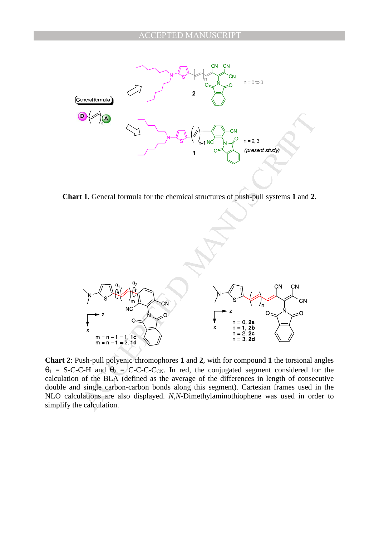

**Chart 1.** General formula for the chemical structures of push-pull systems **1** and **2**.



**Chart 2**: Push-pull polyenic chromophores **1** and **2**, with for compound **1** the torsional angles  $\theta_1$  = S-C-C-H and  $\theta_2$  = C-C-C-C<sub>CN</sub>. In red, the conjugated segment considered for the calculation of the BLA (defined as the average of the differences in length of consecutive double and single carbon-carbon bonds along this segment). Cartesian frames used in the NLO calculations are also displayed. *N,N*-Dimethylaminothiophene was used in order to simplify the calculation.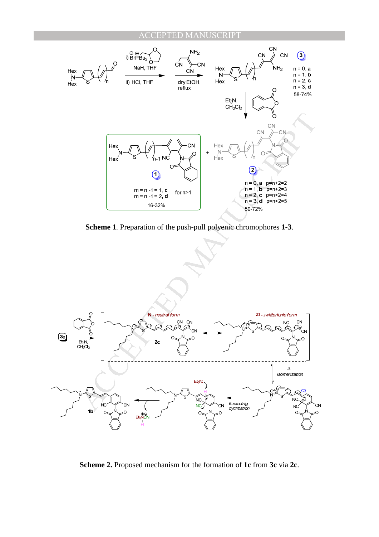

**Scheme 1**. Preparation of the push-pull polyenic chromophores **1-3**.



**Scheme 2.** Proposed mechanism for the formation of **1c** from **3c** via **2c**.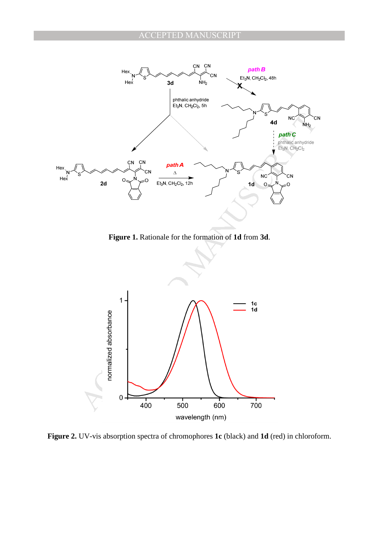

**Figure 1.** Rationale for the formation of **1d** from **3d**.



**Figure 2.** UV-vis absorption spectra of chromophores **1c** (black) and **1d** (red) in chloroform.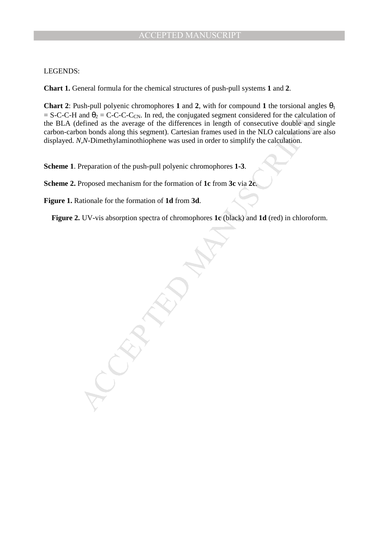#### LEGENDS:

**Chart 1.** General formula for the chemical structures of push-pull systems **1** and **2**.

**Chart 2**: Push-pull polyenic chromophores **1** and **2**, with for compound **1** the torsional angles  $\theta_1$  $=$  S-C-C-H and  $\theta_2$  = C-C-C-C<sub>CN</sub>. In red, the conjugated segment considered for the calculation of the BLA (defined as the average of the differences in length of consecutive double and single carbon-carbon bonds along this segment). Cartesian frames used in the NLO calculations are also displayed. *N,N*-Dimethylaminothiophene was used in order to simplify the calculation.

**Scheme 1**. Preparation of the push-pull polyenic chromophores **1-3**.

**Scheme 2.** Proposed mechanism for the formation of **1c** from **3c** via **2c**.

**Figure 1.** Rationale for the formation of **1d** from **3d**.

**Figure 2.** UV-vis absorption spectra of chromophores **1c** (black) and **1d** (red) in chloroform.

and  $\theta_2 = C-C-C<sub>ex</sub>$ . In red, the conjugated segment considered for the calculation<br>eleined as the average of the differences in length of consecutive double and<br>on bonds along this segment). Cartesian frames used in the